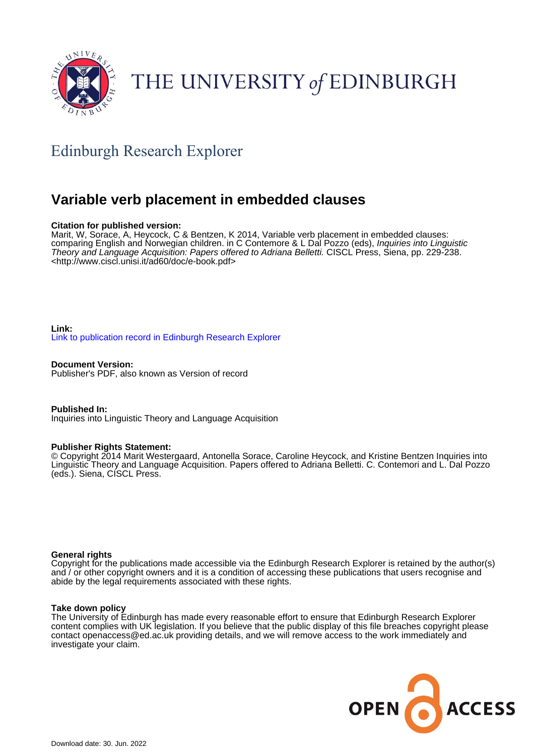

# THE UNIVERSITY of EDINBURGH

# Edinburgh Research Explorer

# **Variable verb placement in embedded clauses**

### **Citation for published version:**

Marit, W, Sorace, A, Heycock, C & Bentzen, K 2014, Variable verb placement in embedded clauses: comparing English and Norwegian children. in C Contemore & L Dal Pozzo (eds), Inquiries into Linguistic Theory and Language Acquisition: Papers offered to Adriana Belletti. CISCL Press, Siena, pp. 229-238. <[http://www.ciscl.unisi.it/ad60/doc/e-book.pdf>](http://www.ciscl.unisi.it/ad60/doc/e-book.pdf)

## **Link:** [Link to publication record in Edinburgh Research Explorer](https://www.research.ed.ac.uk/en/publications/f89da337-036e-4939-8c8f-23fc8eb47e88)

**Document Version:** Publisher's PDF, also known as Version of record

**Published In:** Inquiries into Linguistic Theory and Language Acquisition

### **Publisher Rights Statement:**

© Copyright 2014 Marit Westergaard, Antonella Sorace, Caroline Heycock, and Kristine Bentzen Inquiries into Linguistic Theory and Language Acquisition. Papers offered to Adriana Belletti. C. Contemori and L. Dal Pozzo (eds.). Siena, CISCL Press.

### **General rights**

Copyright for the publications made accessible via the Edinburgh Research Explorer is retained by the author(s) and / or other copyright owners and it is a condition of accessing these publications that users recognise and abide by the legal requirements associated with these rights.

### **Take down policy**

The University of Edinburgh has made every reasonable effort to ensure that Edinburgh Research Explorer content complies with UK legislation. If you believe that the public display of this file breaches copyright please contact openaccess@ed.ac.uk providing details, and we will remove access to the work immediately and investigate your claim.

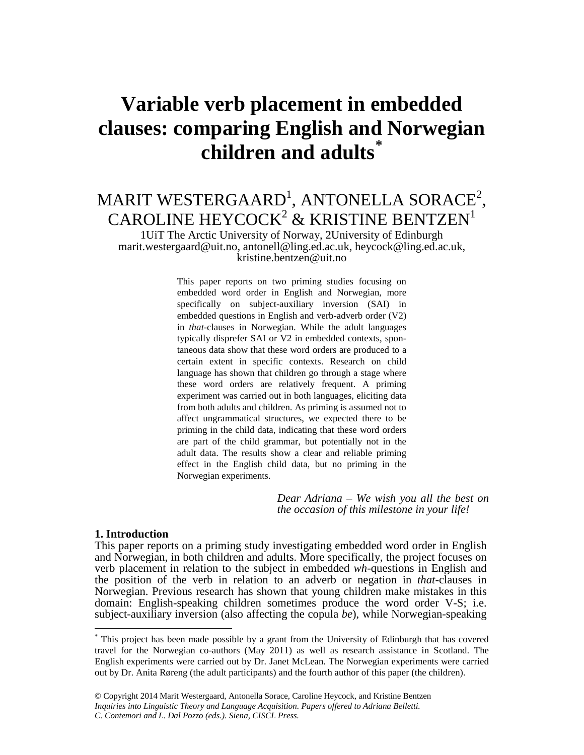# **Variable verb placement in embedded clauses: comparing English and Norwegian children and adults[\\*](#page-1-0)**

# MARIT WESTERGAARD<sup>1</sup>, ANTONELLA SORACE<sup>2</sup>, CAROLINE HEYCOCK<sup>2</sup> & KRISTINE BENTZEN<sup>1</sup>

1UiT The Arctic University of Norway, 2University of Edinburgh marit.westergaard@uit.no, antonell@ling.ed.ac.uk, heycock@ling.ed.ac.uk, kristine.bentzen@uit.no

> This paper reports on two priming studies focusing on embedded word order in English and Norwegian, more specifically on subject-auxiliary inversion (SAI) in embedded questions in English and verb-adverb order (V2) in *that*-clauses in Norwegian. While the adult languages typically disprefer SAI or V2 in embedded contexts, spontaneous data show that these word orders are produced to a certain extent in specific contexts. Research on child language has shown that children go through a stage where these word orders are relatively frequent. A priming experiment was carried out in both languages, eliciting data from both adults and children. As priming is assumed not to affect ungrammatical structures, we expected there to be priming in the child data, indicating that these word orders are part of the child grammar, but potentially not in the adult data. The results show a clear and reliable priming effect in the English child data, but no priming in the Norwegian experiments.

> > *Dear Adriana – We wish you all the best on the occasion of this milestone in your life!*

## **1. Introduction**

-

This paper reports on a priming study investigating embedded word order in English and Norwegian, in both children and adults. More specifically, the project focuses on verb placement in relation to the subject in embedded *wh*-questions in English and the position of the verb in relation to an adverb or negation in *that*-clauses in Norwegian. Previous research has shown that young children make mistakes in this domain: English-speaking children sometimes produce the word order V-S; i.e. subject-auxiliary inversion (also affecting the copula *be*), while Norwegian-speaking

<span id="page-1-0"></span><sup>\*</sup> This project has been made possible by a grant from the University of Edinburgh that has covered travel for the Norwegian co-authors (May 2011) as well as research assistance in Scotland. The English experiments were carried out by Dr. Janet McLean. The Norwegian experiments were carried out by Dr. Anita Røreng (the adult participants) and the fourth author of this paper (the children).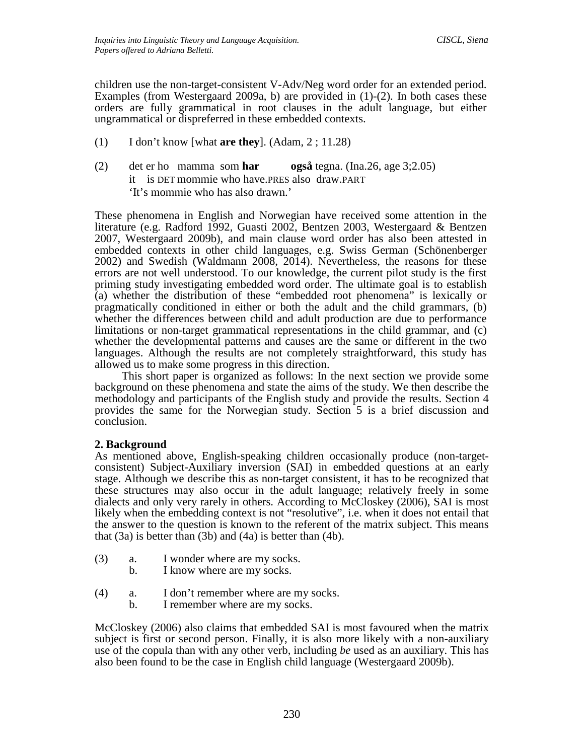children use the non-target-consistent V-Adv/Neg word order for an extended period. Examples (from Westergaard 2009a, b) are provided in (1)-(2). In both cases these orders are fully grammatical in root clauses in the adult language, but either ungrammatical or dispreferred in these embedded contexts.

- (1) I don't know [what **are they**]. (Adam, 2 ; 11.28)
- (2) det er ho mamma som **har også** tegna. (Ina.26, age 3;2.05) it is DET mommie who have.PRES also draw.PART 'It's mommie who has also drawn.'

These phenomena in English and Norwegian have received some attention in the literature (e.g. Radford 1992, Guasti 2002, Bentzen 2003, Westergaard & Bentzen 2007, Westergaard 2009b), and main clause word order has also been attested in embedded contexts in other child languages, e.g. Swiss German (Schönenberger 2002) and Swedish (Waldmann 2008, 2014). Nevertheless, the reasons for these errors are not well understood. To our knowledge, the current pilot study is the first priming study investigating embedded word order. The ultimate goal is to establish (a) whether the distribution of these "embedded root phenomena" is lexically or pragmatically conditioned in either or both the adult and the child grammars, (b) whether the differences between child and adult production are due to performance limitations or non-target grammatical representations in the child grammar, and (c) whether the developmental patterns and causes are the same or different in the two languages. Although the results are not completely straightforward, this study has allowed us to make some progress in this direction.

This short paper is organized as follows: In the next section we provide some background on these phenomena and state the aims of the study. We then describe the methodology and participants of the English study and provide the results. Section 4 provides the same for the Norwegian study. Section 5 is a brief discussion and conclusion.

# **2. Background**

As mentioned above, English-speaking children occasionally produce (non-targetconsistent) Subject-Auxiliary inversion (SAI) in embedded questions at an early stage. Although we describe this as non-target consistent, it has to be recognized that these structures may also occur in the adult language; relatively freely in some dialects and only very rarely in others. According to McCloskey (2006), SAI is most likely when the embedding context is not "resolutive", i.e. when it does not entail that the answer to the question is known to the referent of the matrix subject. This means that  $(3a)$  is better than  $(3b)$  and  $(4a)$  is better than  $(4b)$ .

- (3) a. I wonder where are my socks.
	- b. I know where are my socks.
- (4) a. I don't remember where are my socks.
	- b. I remember where are my socks.

McCloskey (2006) also claims that embedded SAI is most favoured when the matrix subject is first or second person. Finally, it is also more likely with a non-auxiliary use of the copula than with any other verb, including *be* used as an auxiliary. This has also been found to be the case in English child language (Westergaard 2009b).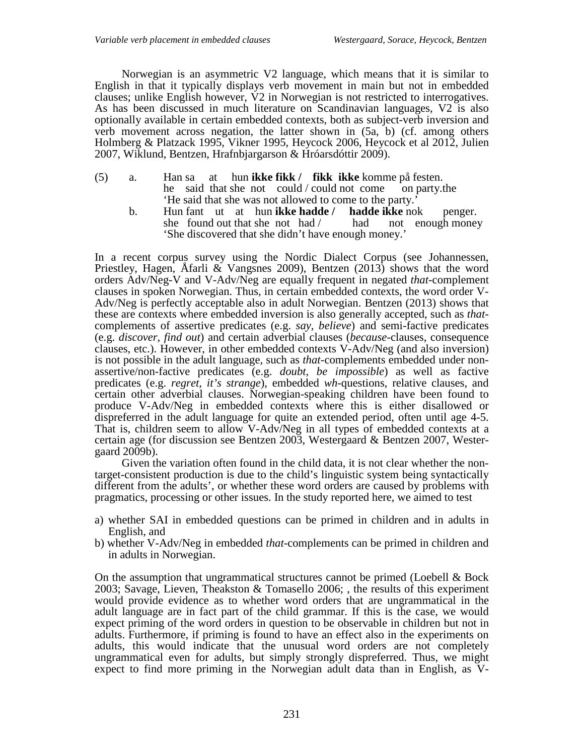Norwegian is an asymmetric V2 language, which means that it is similar to English in that it typically displays verb movement in main but not in embedded clauses; unlike English however,  $\overline{V}2$  in Norwegian is not restricted to interrogatives. As has been discussed in much literature on Scandinavian languages, V2 is also optionally available in certain embedded contexts, both as subject-verb inversion and verb movement across negation, the latter shown in  $(5a, b)$  (cf. among others Holmberg & Platzack 1995, Vikner 1995, Heycock 2006, Heycock et al 2012, Julien 2007, Wiklund, Bentzen, Hrafnbjargarson & Hróarsdóttir 2009).

- (5) a. Han sa at hun **ikke fikk / fikk ikke** komme på festen. he said that she not could / could not come on party.the 'He said that she was not allowed to come to the party.'
	- b. Hun fant ut at hun **ikke hadde / hadde ikke** nok penger. she found out that she not  $had /$  had not enough money 'She discovered that she didn't have enough money.'

In a recent corpus survey using the Nordic Dialect Corpus (see Johannessen, Priestley, Hagen, Åfarli & Vangsnes 2009), Bentzen (2013) shows that the word orders Adv/Neg-V and V-Adv/Neg are equally frequent in negated *that*-complement clauses in spoken Norwegian. Thus, in certain embedded contexts, the word order V- Adv/Neg is perfectly acceptable also in adult Norwegian. Bentzen (2013) shows that these are contexts where embedded inversion is also generally accepted, such as *that*- complements of assertive predicates (e.g. *say, believe*) and semi-factive predicates (e.g. *discover, find out*) and certain adverbial clauses (*because*-clauses, consequence clauses, etc.). However, in other embedded contexts V-Adv/Neg (and also inversion) is not possible in the adult language, such as *that*-complements embedded under non- assertive/non-factive predicates (e.g. *doubt, be impossible*) as well as factive predicates (e.g. *regret, it's strange*), embedded *wh*-questions, relative clauses, and certain other adverbial clauses. Norwegian-speaking children have been found to produce V-Adv/Neg in embedded contexts where this is either disallowed or dispreferred in the adult language for quite an extended period, often until age 4-5. That is, children seem to allow V-Adv/Neg in all types of embedded contexts at a certain age (for discussion see Bentzen 2003, Westergaard & Bentzen 2007, Westergaard 2009b).

Given the variation often found in the child data, it is not clear whether the nontarget-consistent production is due to the child's linguistic system being syntactically different from the adults', or whether these word orders are caused by problems with pragmatics, processing or other issues. In the study reported here, we aimed to test

- a) whether SAI in embedded questions can be primed in children and in adults in English, and
- b) whether V-Adv/Neg in embedded *that*-complements can be primed in children and in adults in Norwegian.

On the assumption that ungrammatical structures cannot be primed (Loebell & Bock 2003; Savage, Lieven, Theakston & Tomasello 2006; , the results of this experiment would provide evidence as to whether word orders that are ungrammatical in the adult language are in fact part of the child grammar. If this is the case, we would expect priming of the word orders in question to be observable in children but not in adults. Furthermore, if priming is found to have an effect also in the experiments on adults, this would indicate that the unusual word orders are not completely ungrammatical even for adults, but simply strongly dispreferred. Thus, we might expect to find more priming in the Norwegian adult data than in English, as V-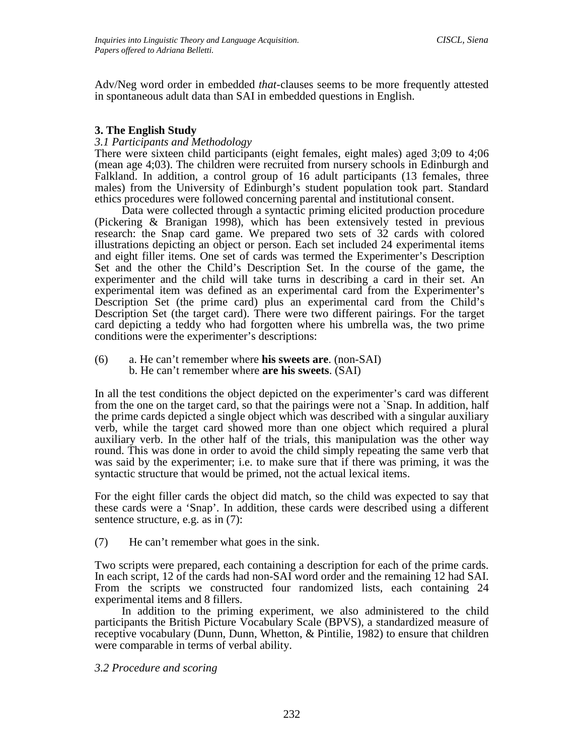Adv/Neg word order in embedded *that*-clauses seems to be more frequently attested in spontaneous adult data than SAI in embedded questions in English.

# **3. The English Study**

# *3.1 Participants and Methodology*

There were sixteen child participants (eight females, eight males) aged 3;09 to 4;06 (mean age 4;03). The children were recruited from nursery schools in Edinburgh and Falkland. In addition, a control group of 16 adult participants (13 females, three males) from the University of Edinburgh's student population took part. Standard ethics procedures were followed concerning parental and institutional consent.

Data were collected through a syntactic priming elicited production procedure (Pickering & Branigan 1998), which has been extensively tested in previous research: the Snap card game. We prepared two sets of 32 cards with colored illustrations depicting an object or person. Each set included 24 experimental items and eight filler items. One set of cards was termed the Experimenter's Description Set and the other the Child's Description Set. In the course of the game, the experimenter and the child will take turns in describing a card in their set. An experimental item was defined as an experimental card from the Experimenter's Description Set (the prime card) plus an experimental card from the Child's Description Set (the target card). There were two different pairings. For the target card depicting a teddy who had forgotten where his umbrella was, the two prime conditions were the experimenter's descriptions:

(6) a. He can't remember where **his sweets are**. (non-SAI) b. He can't remember where **are his sweets**. (SAI)

In all the test conditions the object depicted on the experimenter's card was different from the one on the target card, so that the pairings were not a `Snap. In addition, half the prime cards depicted a single object which was described with a singular auxiliary verb, while the target card showed more than one object which required a plural auxiliary verb. In the other half of the trials, this manipulation was the other way round. This was done in order to avoid the child simply repeating the same verb that was said by the experimenter; i.e. to make sure that if there was priming, it was the syntactic structure that would be primed, not the actual lexical items.

For the eight filler cards the object did match, so the child was expected to say that these cards were a 'Snap'. In addition, these cards were described using a different sentence structure, e.g. as in (7):

(7) He can't remember what goes in the sink.

Two scripts were prepared, each containing a description for each of the prime cards. In each script, 12 of the cards had non-SAI word order and the remaining 12 had SAI. From the scripts we constructed four randomized lists, each containing 24 experimental items and 8 fillers.

In addition to the priming experiment, we also administered to the child participants the British Picture Vocabulary Scale (BPVS), a standardized measure of receptive vocabulary (Dunn, Dunn, Whetton, & Pintilie, 1982) to ensure that children were comparable in terms of verbal ability.

# *3.2 Procedure and scoring*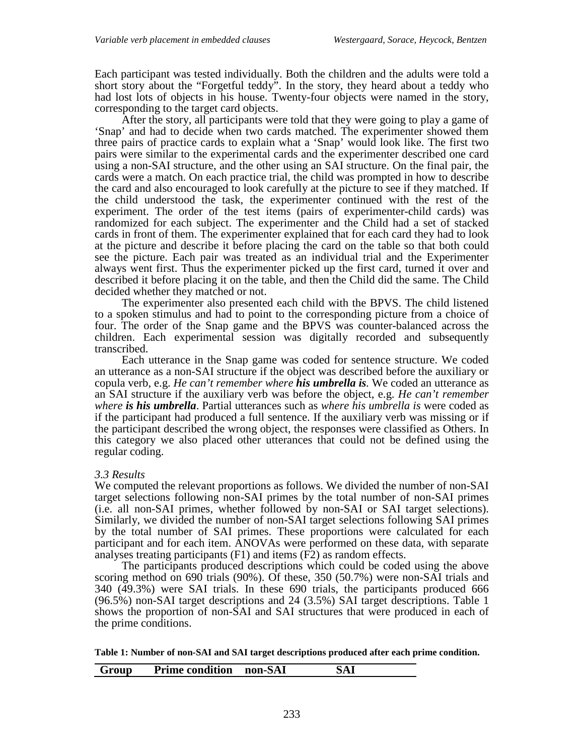Each participant was tested individually. Both the children and the adults were told a short story about the "Forgetful teddy". In the story, they heard about a teddy who had lost lots of objects in his house. Twenty-four objects were named in the story, corresponding to the target card objects.

After the story, all participants were told that they were going to play a game of 'Snap' and had to decide when two cards matched. The experimenter showed them three pairs of practice cards to explain what a 'Snap' would look like. The first two pairs were similar to the experimental cards and the experimenter described one card using a non-SAI structure, and the other using an SAI structure. On the final pair, the cards were a match. On each practice trial, the child was prompted in how to describe the card and also encouraged to look carefully at the picture to see if they matched. If the child understood the task, the experimenter continued with the rest of the experiment. The order of the test items (pairs of experimenter-child cards) was randomized for each subject. The experimenter and the Child had a set of stacked cards in front of them. The experimenter explained that for each card they had to look at the picture and describe it before placing the card on the table so that both could see the picture. Each pair was treated as an individual trial and the Experimenter always went first. Thus the experimenter picked up the first card, turned it over and described it before placing it on the table, and then the Child did the same. The Child decided whether they matched or not.

The experimenter also presented each child with the BPVS. The child listened to a spoken stimulus and had to point to the corresponding picture from a choice of four. The order of the Snap game and the BPVS was counter-balanced across the children. Each experimental session was digitally recorded and subsequently transcribed.

Each utterance in the Snap game was coded for sentence structure. We coded an utterance as a non-SAI structure if the object was described before the auxiliary or copula verb, e.g. *He can't remember where his umbrella is.* We coded an utterance as an SAI structure if the auxiliary verb was before the object, e.g. *He can't remember where is his umbrella*. Partial utterances such as *where his umbrella is* were coded as if the participant had produced a full sentence. If the auxiliary verb was missing or if the participant described the wrong object, the responses were classified as Others. In this category we also placed other utterances that could not be defined using the regular coding.

# *3.3 Results*

We computed the relevant proportions as follows. We divided the number of non-SAI target selections following non-SAI primes by the total number of non-SAI primes (i.e. all non-SAI primes, whether followed by non-SAI or SAI target selections). Similarly, we divided the number of non-SAI target selections following SAI primes by the total number of SAI primes. These proportions were calculated for each participant and for each item. ANOVAs were performed on these data, with separate analyses treating participants (F1) and items (F2) as random effects.

The participants produced descriptions which could be coded using the above scoring method on 690 trials (90%). Of these, 350 (50.7%) were non-SAI trials and 340 (49.3%) were SAI trials. In these 690 trials, the participants produced 666 (96.5%) non-SAI target descriptions and 24 (3.5%) SAI target descriptions. Table 1 shows the proportion of non-SAI and SAI structures that were produced in each of the prime conditions.

**Table 1: Number of non-SAI and SAI target descriptions produced after each prime condition.** 

| Group | Prime condition non-SAI |  |
|-------|-------------------------|--|
|       |                         |  |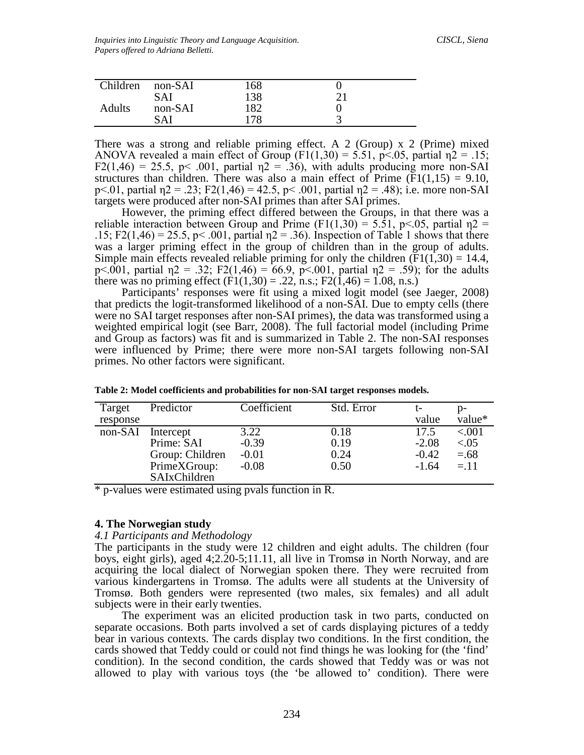| Children | non-SAI | 168 |    |  |
|----------|---------|-----|----|--|
|          | SAI     | 138 | 21 |  |
| Adults   | non-SAI | 182 |    |  |
|          | SΔI     | 178 |    |  |

There was a strong and reliable priming effect. A 2 (Group) x 2 (Prime) mixed ANOVA revealed a main effect of Group (F1(1,30) = 5.51, p<.05, partial  $n^2 = 0.15$ ;  $F2(1,46) = 25.5$ ,  $p \le 0.001$ , partial  $\eta$ 2 = .36), with adults producing more non-SAI structures than children. There was also a main effect of Prime  $(F1(1,15) = 9.10$ , p<.01, partial  $\eta$ 2 = .23; F2(1,46) = 42.5, p < .001, partial  $\eta$ 2 = .48); i.e. more non-SAI targets were produced after non-SAI primes than after SAI primes.

However, the priming effect differed between the Groups, in that there was a reliable interaction between Group and Prime (F1(1,30) = 5.51, p<.05, partial  $\eta$ 2 = .15; F2(1,46) = 25.5, p < .001, partial  $n^2$  = .36). Inspection of Table 1 shows that there was a larger priming effect in the group of children than in the group of adults. Simple main effects revealed reliable priming for only the children  $(F1(1,30) = 14.4$ , p<.001, partial  $\eta$ 2 = .32; F2(1,46) = 66.9, p<.001, partial  $\eta$ 2 = .59); for the adults there was no priming effect ( $\text{F1}(1,30) = .22$ , n.s.;  $\text{F2}(1,46) = 1.08$ , n.s.)

Participants' responses were fit using a mixed logit model (see Jaeger, 2008) that predicts the logit-transformed likelihood of a non-SAI. Due to empty cells (there were no SAI target responses after non-SAI primes), the data was transformed using a weighted empirical logit (see Barr, 2008). The full factorial model (including Prime and Group as factors) was fit and is summarized in Table 2. The non-SAI responses were influenced by Prime; there were more non-SAI targets following non-SAI primes. No other factors were significant.

| Target   | Predictor       | Coefficient | Std. Error |         |           |
|----------|-----------------|-------------|------------|---------|-----------|
| response |                 |             |            | value   | value*    |
| non-SAI  | Intercept       | 3.22        | 0.18       | 17.5    | ${<}001$  |
|          | Prime: SAI      | $-0.39$     | 0.19       | $-2.08$ | ${<}0.05$ |
|          | Group: Children | $-0.01$     | 0.24       | $-0.42$ | $=.68$    |
|          | PrimeXGroup:    | $-0.08$     | 0.50       | $-1.64$ | $=.11$    |
|          | SAIxChildren    |             |            |         |           |

**Table 2: Model coefficients and probabilities for non-SAI target responses models.**

\* p-values were estimated using pvals function in R.

# **4. The Norwegian study**

### *4.1 Participants and Methodology*

The participants in the study were 12 children and eight adults. The children (four boys, eight girls), aged 4;2.20-5;11.11, all live in Tromsø in North Norway, and are acquiring the local dialect of Norwegian spoken there. They were recruited from various kindergartens in Tromsø. The adults were all students at the University of Tromsø. Both genders were represented (two males, six females) and all adult subjects were in their early twenties.

The experiment was an elicited production task in two parts, conducted on separate occasions. Both parts involved a set of cards displaying pictures of a teddy bear in various contexts. The cards display two conditions. In the first condition, the cards showed that Teddy could or could not find things he was looking for (the 'find' condition). In the second condition, the cards showed that Teddy was or was not allowed to play with various toys (the 'be allowed to' condition). There were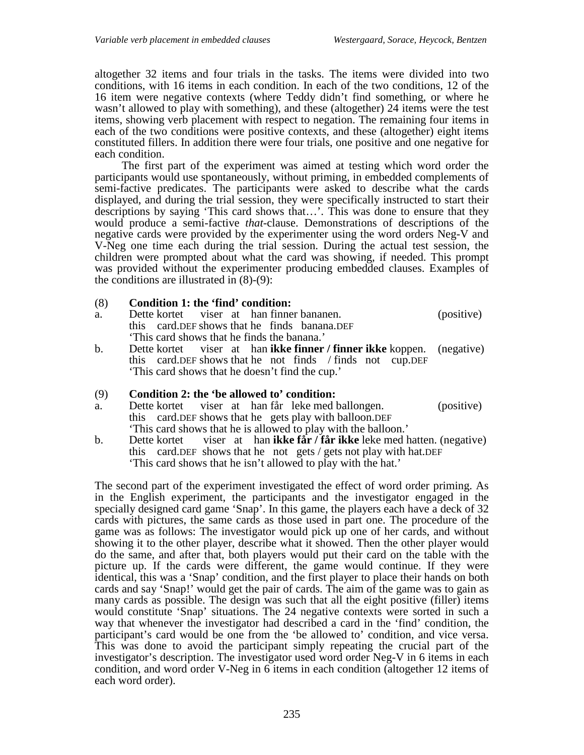altogether 32 items and four trials in the tasks. The items were divided into two conditions, with 16 items in each condition. In each of the two conditions, 12 of the 16 item were negative contexts (where Teddy didn't find something, or where he wasn't allowed to play with something), and these (altogether) 24 items were the test items, showing verb placement with respect to negation. The remaining four items in each of the two conditions were positive contexts, and these (altogether) eight items constituted fillers. In addition there were four trials, one positive and one negative for each condition.

The first part of the experiment was aimed at testing which word order the participants would use spontaneously, without priming, in embedded complements of semi-factive predicates. The participants were asked to describe what the cards displayed, and during the trial session, they were specifically instructed to start their descriptions by saying 'This card shows that…'. This was done to ensure that they would produce a semi-factive *that*-clause. Demonstrations of descriptions of the negative cards were provided by the experimenter using the word orders Neg-V and V-Neg one time each during the trial session. During the actual test session, the children were prompted about what the card was showing, if needed. This prompt was provided without the experimenter producing embedded clauses. Examples of the conditions are illustrated in  $(8)-(9)$ :

# (8) **Condition 1: the 'find' condition:**

- a. Dette kortet viser at han finner bananen. (positive) this card.DEF shows that he finds banana.DEF 'This card shows that he finds the banana.'
- b. Dette kortet viser at han **ikke finner / finner ikke** koppen. (negative) this card.DEF shows that he not finds / finds not cup.DEF 'This card shows that he doesn't find the cup.'

# (9) **Condition 2: the 'be allowed to' condition:**

- a. Dette kortet viser at han får leke med ballongen. (positive) this card.DEF shows that he gets play with balloon.DEF 'This card shows that he is allowed to play with the balloon.'
- b. Dette kortet viser at han **ikke får / får ikke** leke med hatten. (negative) this card.DEF shows that he not gets / gets not play with hat.DEF 'This card shows that he isn't allowed to play with the hat.'

The second part of the experiment investigated the effect of word order priming. As in the English experiment, the participants and the investigator engaged in the specially designed card game 'Snap'. In this game, the players each have a deck of 32 cards with pictures, the same cards as those used in part one. The procedure of the game was as follows: The investigator would pick up one of her cards, and without showing it to the other player, describe what it showed. Then the other player would do the same, and after that, both players would put their card on the table with the picture up. If the cards were different, the game would continue. If they were identical, this was a 'Snap' condition, and the first player to place their hands on both cards and say 'Snap!' would get the pair of cards. The aim of the game was to gain as many cards as possible. The design was such that all the eight positive (filler) items would constitute 'Snap' situations. The 24 negative contexts were sorted in such a way that whenever the investigator had described a card in the 'find' condition, the participant's card would be one from the 'be allowed to' condition, and vice versa. This was done to avoid the participant simply repeating the crucial part of the investigator's description. The investigator used word order Neg-V in 6 items in each condition, and word order V-Neg in 6 items in each condition (altogether 12 items of each word order).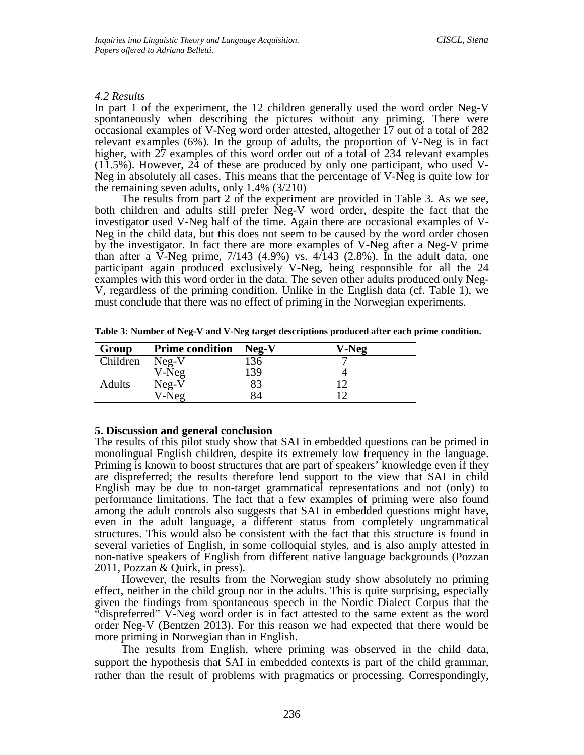# *4.2 Results*

In part 1 of the experiment, the 12 children generally used the word order Neg-V spontaneously when describing the pictures without any priming. There were occasional examples of V-Neg word order attested, altogether 17 out of a total of 282 relevant examples (6%). In the group of adults, the proportion of V-Neg is in fact higher, with 27 examples of this word order out of a total of 234 relevant examples (11.5%). However, 24 of these are produced by only one participant, who used V-Neg in absolutely all cases. This means that the percentage of V-Neg is quite low for the remaining seven adults, only 1.4% (3/210)

The results from part 2 of the experiment are provided in Table 3. As we see, both children and adults still prefer Neg-V word order, despite the fact that the investigator used V-Neg half of the time. Again there are occasional examples of V-Neg in the child data, but this does not seem to be caused by the word order chosen by the investigator. In fact there are more examples of V-Neg after a Neg-V prime than after a V-Neg prime, 7/143 (4.9%) vs. 4/143 (2.8%). In the adult data, one participant again produced exclusively V-Neg, being responsible for all the 24 examples with this word order in the data. The seven other adults produced only Neg-V, regardless of the priming condition. Unlike in the English data (cf. Table 1), we must conclude that there was no effect of priming in the Norwegian experiments.

|  | Table 3: Number of Neg-V and V-Neg target descriptions produced after each prime condition. |  |
|--|---------------------------------------------------------------------------------------------|--|
|--|---------------------------------------------------------------------------------------------|--|

| Group         | <b>Prime condition</b> | $Neq-V$ | V-Neg |
|---------------|------------------------|---------|-------|
| Children      | $Neq-V$                | 136     |       |
|               | V-Neg                  | 139     |       |
| <b>Adults</b> | $Neg-V$                | 83      |       |
|               | V-Neg                  | 84      |       |

# **5. Discussion and general conclusion**

The results of this pilot study show that SAI in embedded questions can be primed in monolingual English children, despite its extremely low frequency in the language. Priming is known to boost structures that are part of speakers' knowledge even if they are dispreferred; the results therefore lend support to the view that SAI in child English may be due to non-target grammatical representations and not (only) to performance limitations. The fact that a few examples of priming were also found among the adult controls also suggests that SAI in embedded questions might have, even in the adult language, a different status from completely ungrammatical structures. This would also be consistent with the fact that this structure is found in several varieties of English, in some colloquial styles, and is also amply attested in non-native speakers of English from different native language backgrounds (Pozzan 2011, Pozzan & Quirk, in press).

However, the results from the Norwegian study show absolutely no priming effect, neither in the child group nor in the adults. This is quite surprising, especially given the findings from spontaneous speech in the Nordic Dialect Corpus that the "dispreferred" V-Neg word order is in fact attested to the same extent as the word order Neg-V (Bentzen 2013). For this reason we had expected that there would be more priming in Norwegian than in English.

The results from English, where priming was observed in the child data, support the hypothesis that SAI in embedded contexts is part of the child grammar, rather than the result of problems with pragmatics or processing. Correspondingly,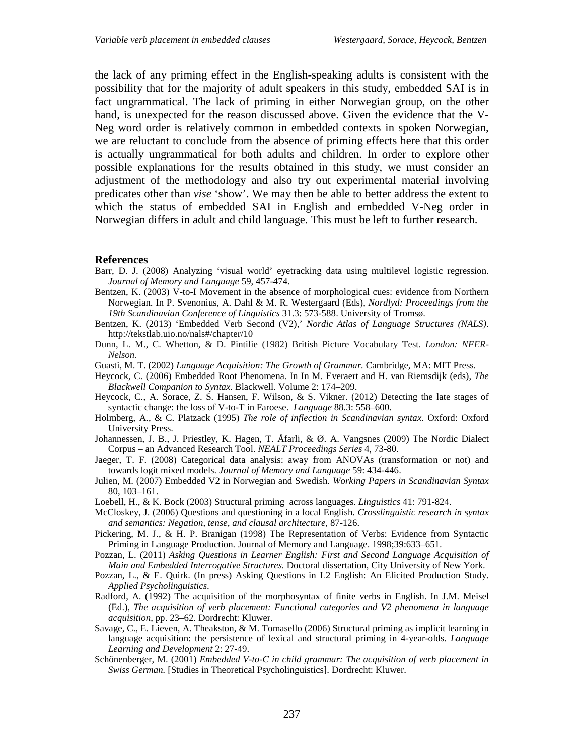the lack of any priming effect in the English-speaking adults is consistent with the possibility that for the majority of adult speakers in this study, embedded SAI is in fact ungrammatical. The lack of priming in either Norwegian group, on the other hand, is unexpected for the reason discussed above. Given the evidence that the V-Neg word order is relatively common in embedded contexts in spoken Norwegian, we are reluctant to conclude from the absence of priming effects here that this order is actually ungrammatical for both adults and children. In order to explore other possible explanations for the results obtained in this study, we must consider an adjustment of the methodology and also try out experimental material involving predicates other than *vise* 'show'. We may then be able to better address the extent to which the status of embedded SAI in English and embedded V-Neg order in Norwegian differs in adult and child language. This must be left to further research.

#### **References**

- Barr, D. J. (2008) Analyzing 'visual world' eyetracking data using multilevel logistic regression. *Journal of Memory and Language* 59, 457-474.
- Bentzen, K. (2003) V-to-I Movement in the absence of morphological cues: evidence from Northern Norwegian. In P. Svenonius, A. Dahl & M. R. Westergaard (Eds), *Nordlyd: Proceedings from the 19th Scandinavian Conference of Linguistics* 31.3: 573-588. University of Tromsø.
- Bentzen, K. (2013) 'Embedded Verb Second (V2),' *Nordic Atlas of Language Structures (NALS)*. http://tekstlab.uio.no/nals#/chapter/10
- Dunn, L. M., C. Whetton, & D. Pintilie (1982) British Picture Vocabulary Test. *London: NFER-Nelson*.
- Guasti, M. T. (2002) *Language Acquisition: The Growth of Grammar.* Cambridge, MA: MIT Press.
- Heycock, C. (2006) Embedded Root Phenomena. In In M. Everaert and H. van Riemsdijk (eds), *The Blackwell Companion to Syntax*. Blackwell. Volume 2: 174–209.
- Heycock, C., A. Sorace, Z. S. Hansen, F. Wilson, & S. Vikner. (2012) Detecting the late stages of syntactic change: the loss of V-to-T in Faroese. *Language* 88.3: 558–600.
- Holmberg, A., & C. Platzack (1995) *The role of inflection in Scandinavian syntax*. Oxford: Oxford University Press.
- Johannessen, J. B., J. Priestley, K. Hagen, T. Åfarli, & Ø. A. Vangsnes (2009) The Nordic Dialect Corpus – an Advanced Research Tool. *NEALT Proceedings Series* 4, 73-80.
- Jaeger, T. F. (2008) Categorical data analysis: away from ANOVAs (transformation or not) and towards logit mixed models. *Journal of Memory and Language* 59: 434-446.
- Julien, M. (2007) Embedded V2 in Norwegian and Swedish. *Working Papers in Scandinavian Syntax* 80, 103–161.
- Loebell, H., & K. Bock (2003) Structural priming across languages. *Linguistics* 41: 791-824.
- McCloskey, J. (2006) Questions and questioning in a local English. *Crosslinguistic research in syntax and semantics: Negation, tense, and clausal architecture*, 87-126.
- Pickering, M. J., & H. P. Branigan (1998) The Representation of Verbs: Evidence from Syntactic Priming in Language Production. Journal of Memory and Language. 1998;39:633–651.
- Pozzan, L. (2011) *Asking Questions in Learner English: First and Second Language Acquisition of Main and Embedded Interrogative Structures.* Doctoral dissertation, City University of New York.
- Pozzan, L., & E. Quirk. (In press) Asking Questions in L2 English: An Elicited Production Study. *Applied Psycholinguistics*.
- Radford, A. (1992) The acquisition of the morphosyntax of finite verbs in English. In J.M. Meisel (Ed.), *The acquisition of verb placement: Functional categories and V2 phenomena in language acquisition*, pp. 23–62. Dordrecht: Kluwer.
- Savage, C., E. Lieven, A. Theakston, & M. Tomasello (2006) Structural priming as implicit learning in language acquisition: the persistence of lexical and structural priming in 4-year-olds. *Language Learning and Development* 2: 27-49.
- Schönenberger, M. (2001) *Embedded V-to-C in child grammar: The acquisition of verb placement in Swiss German.* [Studies in Theoretical Psycholinguistics]. Dordrecht: Kluwer.